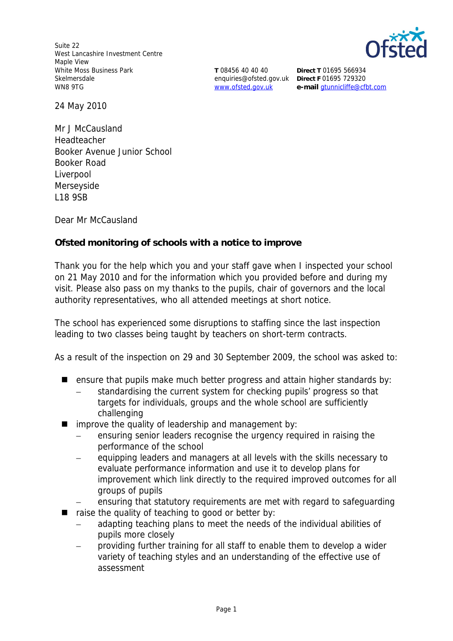Suite 22 West Lancashire Investment Centre Maple View White Moss Business Park Skelmersdale WN8 9TG



**T** 08456 40 40 40 enquiries@ofsted.gov.uk **Direct F** 01695 729320 www.ofsted.gov.uk

**Direct T** 01695 566934 **e-mail** gtunnicliffe@cfbt.com

24 May 2010

Mr J McCausland Headteacher Booker Avenue Junior School Booker Road Liverpool Merseyside L18 9SB

Dear Mr McCausland

**Ofsted monitoring of schools with a notice to improve**

Thank you for the help which you and your staff gave when I inspected your school on 21 May 2010 and for the information which you provided before and during my visit*.* Please also pass on my thanks to the pupils, chair of governors and the local authority representatives, who all attended meetings at short notice.

The school has experienced some disruptions to staffing since the last inspection leading to two classes being taught by teachers on short-term contracts.

As a result of the inspection on 29 and 30 September 2009, the school was asked to:

- **E** ensure that pupils make much better progress and attain higher standards by:
	- standardising the current system for checking pupils' progress so that targets for individuals, groups and the whole school are sufficiently challenging
- $\blacksquare$  improve the quality of leadership and management by:
	- ensuring senior leaders recognise the urgency required in raising the performance of the school
	- equipping leaders and managers at all levels with the skills necessary to evaluate performance information and use it to develop plans for improvement which link directly to the required improved outcomes for all groups of pupils
	- ensuring that statutory requirements are met with regard to safeguarding
- raise the quality of teaching to good or better by:
	- adapting teaching plans to meet the needs of the individual abilities of pupils more closely
	- providing further training for all staff to enable them to develop a wider variety of teaching styles and an understanding of the effective use of assessment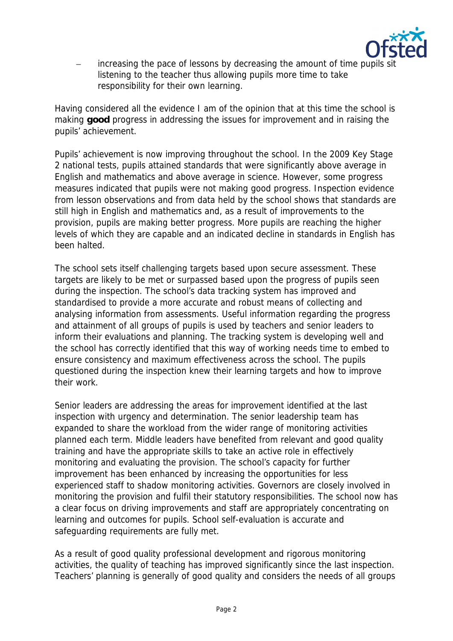

– increasing the pace of lessons by decreasing the amount of time pupils sit listening to the teacher thus allowing pupils more time to take responsibility for their own learning.

Having considered all the evidence I am of the opinion that at this time the school is making **good** progress in addressing the issues for improvement and in raising the pupils' achievement.

Pupils' achievement is now improving throughout the school. In the 2009 Key Stage 2 national tests, pupils attained standards that were significantly above average in English and mathematics and above average in science. However, some progress measures indicated that pupils were not making good progress. Inspection evidence from lesson observations and from data held by the school shows that standards are still high in English and mathematics and, as a result of improvements to the provision, pupils are making better progress. More pupils are reaching the higher levels of which they are capable and an indicated decline in standards in English has been halted.

The school sets itself challenging targets based upon secure assessment. These targets are likely to be met or surpassed based upon the progress of pupils seen during the inspection. The school's data tracking system has improved and standardised to provide a more accurate and robust means of collecting and analysing information from assessments. Useful information regarding the progress and attainment of all groups of pupils is used by teachers and senior leaders to inform their evaluations and planning. The tracking system is developing well and the school has correctly identified that this way of working needs time to embed to ensure consistency and maximum effectiveness across the school. The pupils questioned during the inspection knew their learning targets and how to improve their work.

Senior leaders are addressing the areas for improvement identified at the last inspection with urgency and determination. The senior leadership team has expanded to share the workload from the wider range of monitoring activities planned each term. Middle leaders have benefited from relevant and good quality training and have the appropriate skills to take an active role in effectively monitoring and evaluating the provision. The school's capacity for further improvement has been enhanced by increasing the opportunities for less experienced staff to shadow monitoring activities. Governors are closely involved in monitoring the provision and fulfil their statutory responsibilities. The school now has a clear focus on driving improvements and staff are appropriately concentrating on learning and outcomes for pupils. School self-evaluation is accurate and safeguarding requirements are fully met.

As a result of good quality professional development and rigorous monitoring activities, the quality of teaching has improved significantly since the last inspection. Teachers' planning is generally of good quality and considers the needs of all groups